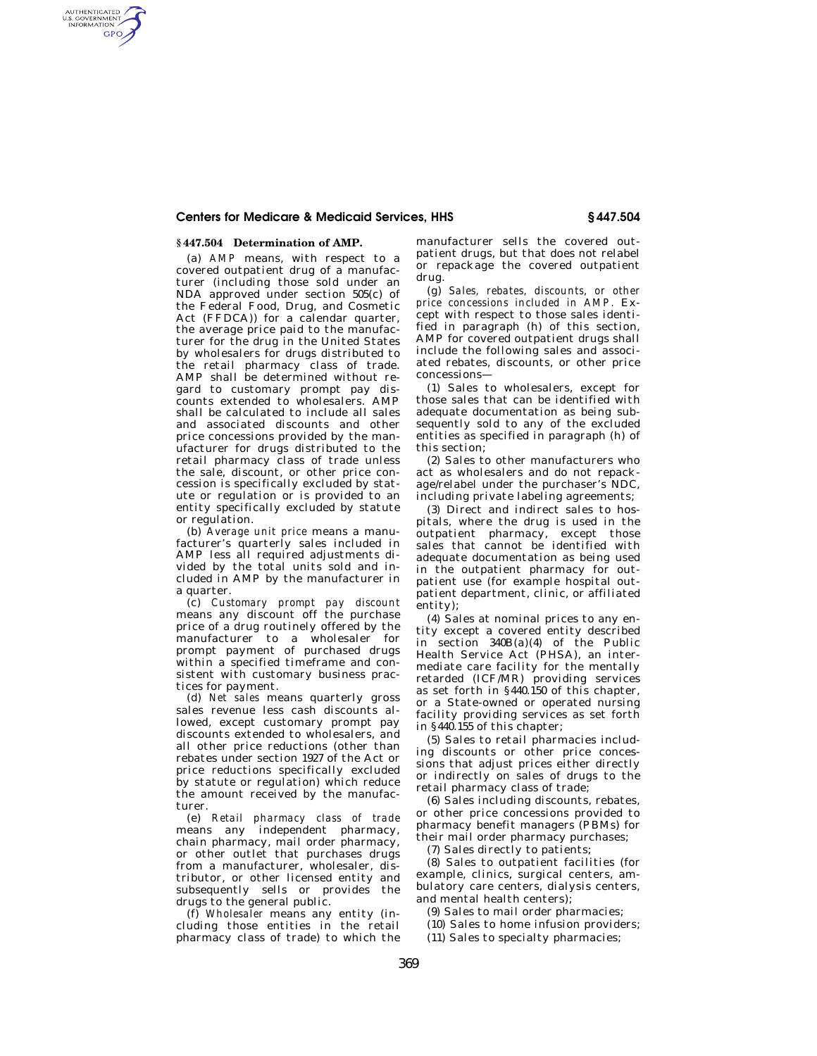## **Centers for Medicare & Medicaid Services, HHS § 447.504**

## **§ 447.504 Determination of AMP.**

AUTHENTICATED<br>U.S. GOVERNMENT<br>INFORMATION **GPO** 

> (a) *AMP* means, with respect to a covered outpatient drug of a manufacturer (including those sold under an NDA approved under section 505(c) of the Federal Food, Drug, and Cosmetic Act (FFDCA)) for a calendar quarter, the average price paid to the manufacturer for the drug in the United States by wholesalers for drugs distributed to the retail pharmacy class of trade. AMP shall be determined without regard to customary prompt pay discounts extended to wholesalers. AMP shall be calculated to include all sales and associated discounts and other price concessions provided by the manufacturer for drugs distributed to the retail pharmacy class of trade unless the sale, discount, or other price concession is specifically excluded by statute or regulation or is provided to an entity specifically excluded by statute or regulation.

> (b) *Average unit price* means a manufacturer's quarterly sales included in AMP less all required adjustments divided by the total units sold and included in AMP by the manufacturer in a quarter.

> (c) *Customary prompt pay discount*  means any discount off the purchase price of a drug routinely offered by the manufacturer to a wholesaler for prompt payment of purchased drugs within a specified timeframe and consistent with customary business practices for payment.

> (d) *Net sales* means quarterly gross sales revenue less cash discounts allowed, except customary prompt pay discounts extended to wholesalers, and all other price reductions (other than rebates under section 1927 of the Act or price reductions specifically excluded by statute or regulation) which reduce the amount received by the manufacturer.

> (e) *Retail pharmacy class of trade*  means any independent pharmacy, chain pharmacy, mail order pharmacy, or other outlet that purchases drugs from a manufacturer, wholesaler, distributor, or other licensed entity and subsequently sells or provides the drugs to the general public.

(f) *Wholesaler* means any entity (including those entities in the retail pharmacy class of trade) to which the manufacturer sells the covered outpatient drugs, but that does not relabel or repackage the covered outpatient drug.

(g) *Sales, rebates, discounts, or other price concessions included in AMP.* Except with respect to those sales identified in paragraph (h) of this section, AMP for covered outpatient drugs shall include the following sales and associated rebates, discounts, or other price concessions—

(1) Sales to wholesalers, except for those sales that can be identified with adequate documentation as being subsequently sold to any of the excluded entities as specified in paragraph (h) of this section;

(2) Sales to other manufacturers who act as wholesalers and do not repackage/relabel under the purchaser's NDC, including private labeling agreements;

(3) Direct and indirect sales to hospitals, where the drug is used in the outpatient pharmacy, except those sales that cannot be identified with adequate documentation as being used in the outpatient pharmacy for outpatient use (for example hospital outpatient department, clinic, or affiliated entity);

(4) Sales at nominal prices to any entity except a covered entity described in section 340B(a)(4) of the Public Health Service Act (PHSA), an intermediate care facility for the mentally retarded (ICF/MR) providing services as set forth in §440.150 of this chapter, or a State-owned or operated nursing facility providing services as set forth in §440.155 of this chapter;

(5) Sales to retail pharmacies including discounts or other price concessions that adjust prices either directly or indirectly on sales of drugs to the retail pharmacy class of trade;

(6) Sales including discounts, rebates, or other price concessions provided to pharmacy benefit managers (PBMs) for their mail order pharmacy purchases;

(7) Sales directly to patients;

(8) Sales to outpatient facilities (for example, clinics, surgical centers, ambulatory care centers, dialysis centers, and mental health centers);

(9) Sales to mail order pharmacies;

- (10) Sales to home infusion providers;
- (11) Sales to specialty pharmacies;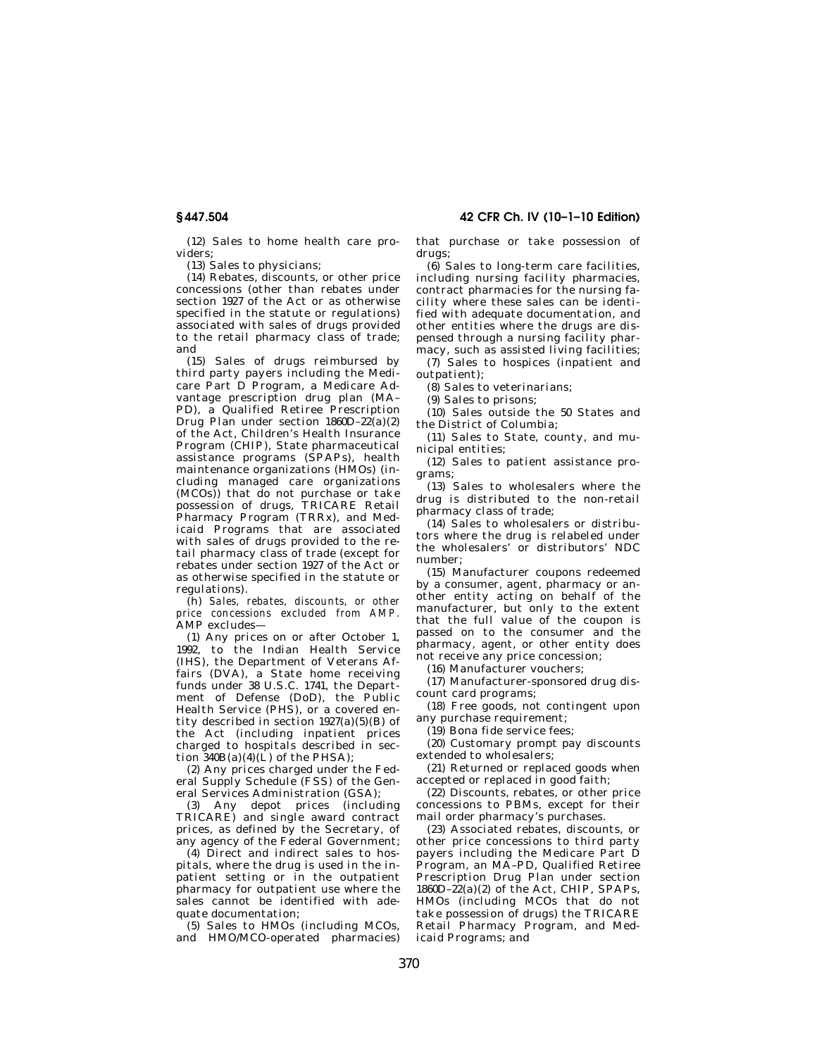**§ 447.504 42 CFR Ch. IV (10–1–10 Edition)** 

(12) Sales to home health care providers;

(13) Sales to physicians;

(14) Rebates, discounts, or other price concessions (other than rebates under section 1927 of the Act or as otherwise specified in the statute or regulations) associated with sales of drugs provided to the retail pharmacy class of trade; and

(15) Sales of drugs reimbursed by third party payers including the Medicare Part D Program, a Medicare Advantage prescription drug plan (MA– PD), a Qualified Retiree Prescription Drug Plan under section 1860D–22(a)(2) of the Act, Children's Health Insurance Program (CHIP), State pharmaceutical assistance programs (SPAPs), health maintenance organizations (HMOs) (including managed care organizations (MCOs)) that do not purchase or take possession of drugs, TRICARE Retail Pharmacy Program (TRRx), and Medicaid Programs that are associated with sales of drugs provided to the retail pharmacy class of trade (except for rebates under section 1927 of the Act or as otherwise specified in the statute or regulations).

(h) *Sales, rebates, discounts, or other price concessions excluded from AMP.*  AMP excludes—

(1) Any prices on or after October 1, 1992, to the Indian Health Service (IHS), the Department of Veterans Affairs (DVA), a State home receiving funds under 38 U.S.C. 1741, the Department of Defense (DoD), the Public Health Service (PHS), or a covered entity described in section  $1927(a)(5)(B)$  of the Act (including inpatient prices charged to hospitals described in section  $\overline{3}40B(a)(4)(\overline{L})$  of the PHSA);

(2) Any prices charged under the Federal Supply Schedule (FSS) of the General Services Administration (GSA);

(3) Any depot prices (including TRICARE) and single award contract prices, as defined by the Secretary, of any agency of the Federal Government;

(4) Direct and indirect sales to hospitals, where the drug is used in the inpatient setting or in the outpatient pharmacy for outpatient use where the sales cannot be identified with adequate documentation;

(5) Sales to HMOs (including MCOs, and HMO/MCO-operated pharmacies) that purchase or take possession of drugs;

(6) Sales to long-term care facilities, including nursing facility pharmacies, contract pharmacies for the nursing facility where these sales can be identified with adequate documentation, and other entities where the drugs are dispensed through a nursing facility pharmacy, such as assisted living facilities;

(7) Sales to hospices (inpatient and outpatient);

(8) Sales to veterinarians;

(9) Sales to prisons;

(10) Sales outside the 50 States and the District of Columbia;

(11) Sales to State, county, and municipal entities;

(12) Sales to patient assistance programs;

(13) Sales to wholesalers where the drug is distributed to the non-retail pharmacy class of trade;

(14) Sales to wholesalers or distributors where the drug is relabeled under the wholesalers' or distributors' NDC number;

(15) Manufacturer coupons redeemed by a consumer, agent, pharmacy or another entity acting on behalf of the manufacturer, but only to the extent that the full value of the coupon is passed on to the consumer and the pharmacy, agent, or other entity does not receive any price concession;

(16) Manufacturer vouchers;

(17) Manufacturer-sponsored drug discount card programs;

(18) Free goods, not contingent upon any purchase requirement;

(19) Bona fide service fees;

(20) Customary prompt pay discounts extended to wholesalers;

(21) Returned or replaced goods when accepted or replaced in good faith;

(22) Discounts, rebates, or other price concessions to PBMs, except for their mail order pharmacy's purchases.

(23) Associated rebates, discounts, or other price concessions to third party payers including the Medicare Part D Program, an MA–PD, Qualified Retiree Prescription Drug Plan under section  $1860D-22(a)(2)$  of the Act, CHIP, SPAPs, HMOs (including MCOs that do not take possession of drugs) the TRICARE Retail Pharmacy Program, and Medicaid Programs; and